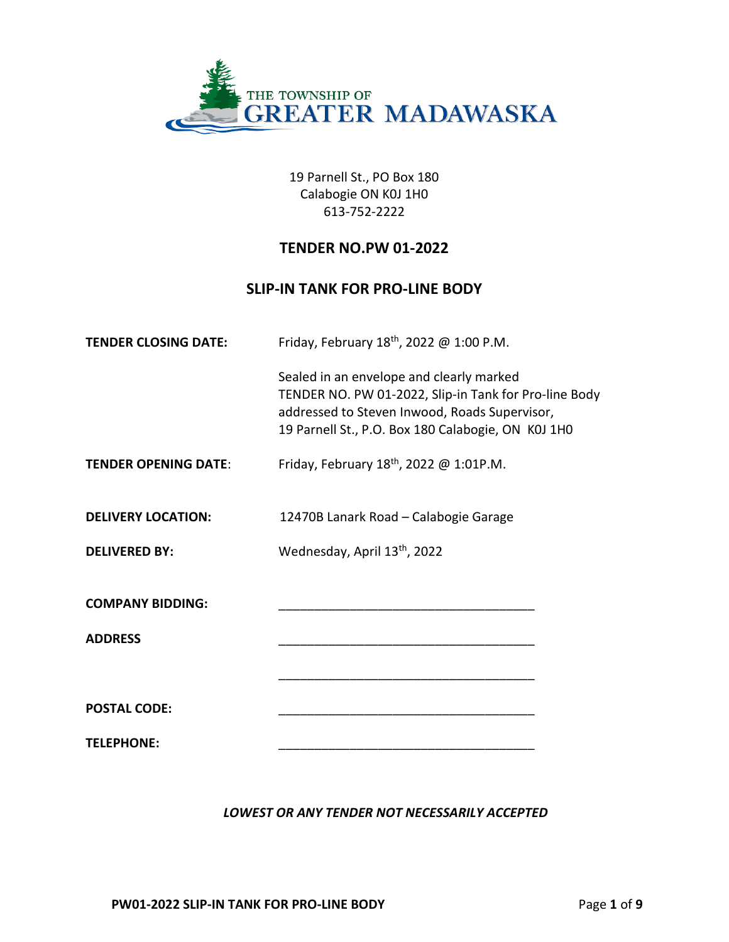

19 Parnell St., PO Box 180 Calabogie ON K0J 1H0 613-752-2222

# **TENDER NO.PW 01-2022**

# **SLIP-IN TANK FOR PRO-LINE BODY**

| <b>TENDER CLOSING DATE:</b> | Friday, February 18 <sup>th</sup> , 2022 @ 1:00 P.M.                                                                                                                                                     |  |
|-----------------------------|----------------------------------------------------------------------------------------------------------------------------------------------------------------------------------------------------------|--|
|                             | Sealed in an envelope and clearly marked<br>TENDER NO. PW 01-2022, Slip-in Tank for Pro-line Body<br>addressed to Steven Inwood, Roads Supervisor,<br>19 Parnell St., P.O. Box 180 Calabogie, ON K0J 1H0 |  |
| <b>TENDER OPENING DATE:</b> | Friday, February $18^{th}$ , 2022 @ 1:01P.M.                                                                                                                                                             |  |
| <b>DELIVERY LOCATION:</b>   | 12470B Lanark Road - Calabogie Garage                                                                                                                                                                    |  |
| <b>DELIVERED BY:</b>        | Wednesday, April 13th, 2022                                                                                                                                                                              |  |
| <b>COMPANY BIDDING:</b>     |                                                                                                                                                                                                          |  |
| <b>ADDRESS</b>              |                                                                                                                                                                                                          |  |
|                             |                                                                                                                                                                                                          |  |
| <b>POSTAL CODE:</b>         |                                                                                                                                                                                                          |  |
| <b>TELEPHONE:</b>           |                                                                                                                                                                                                          |  |

## *LOWEST OR ANY TENDER NOT NECESSARILY ACCEPTED*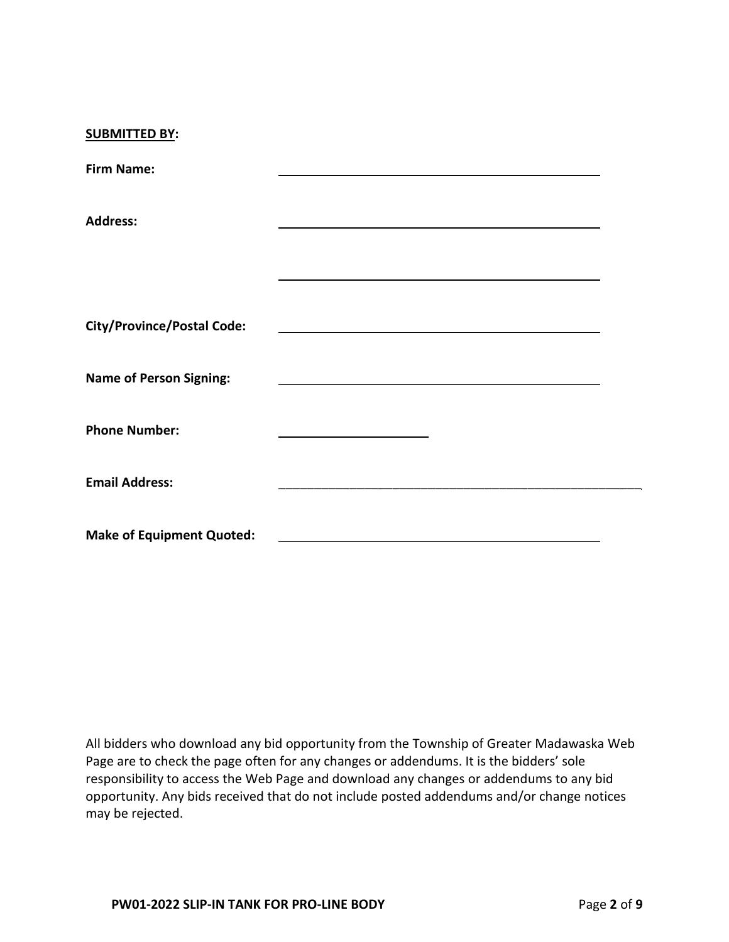| <b>SUBMITTED BY:</b>              |  |
|-----------------------------------|--|
| <b>Firm Name:</b>                 |  |
| <b>Address:</b>                   |  |
|                                   |  |
| <b>City/Province/Postal Code:</b> |  |
| <b>Name of Person Signing:</b>    |  |
| <b>Phone Number:</b>              |  |
| <b>Email Address:</b>             |  |
| <b>Make of Equipment Quoted:</b>  |  |

All bidders who download any bid opportunity from the Township of Greater Madawaska Web Page are to check the page often for any changes or addendums. It is the bidders' sole responsibility to access the Web Page and download any changes or addendums to any bid opportunity. Any bids received that do not include posted addendums and/or change notices may be rejected.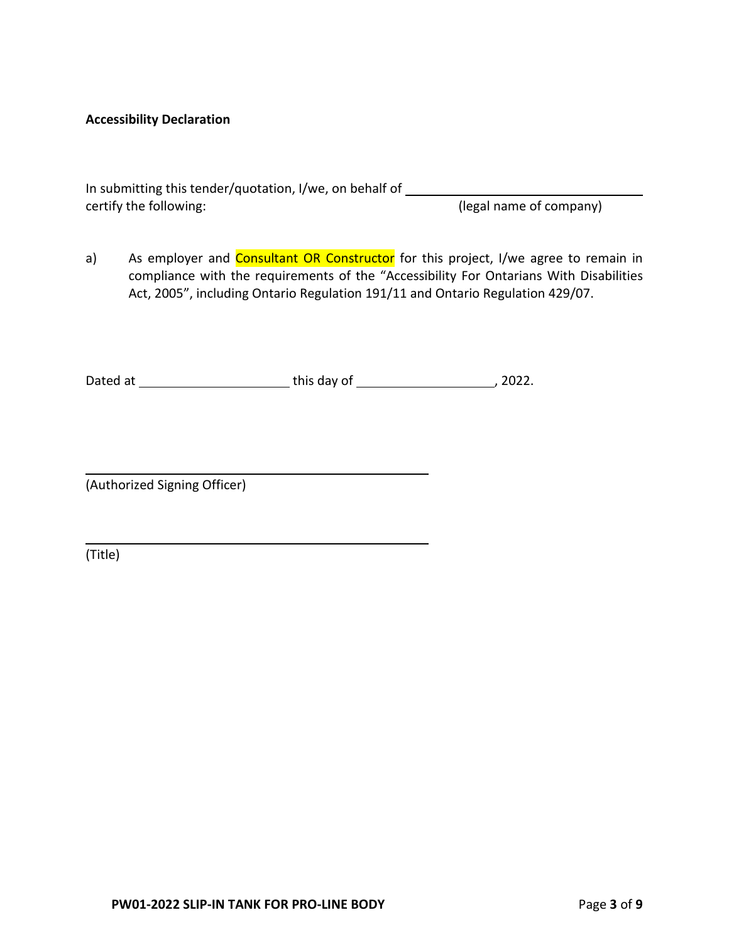#### **Accessibility Declaration**

| In submitting this tender/quotation, I/we, on behalf of |                         |
|---------------------------------------------------------|-------------------------|
| certify the following:                                  | (legal name of company) |

a) As employer and Consultant OR Constructor for this project, I/we agree to remain in compliance with the requirements of the "Accessibility For Ontarians With Disabilities Act, 2005", including Ontario Regulation 191/11 and Ontario Regulation 429/07.

Dated at this day of , 2022.

(Authorized Signing Officer)

(Title)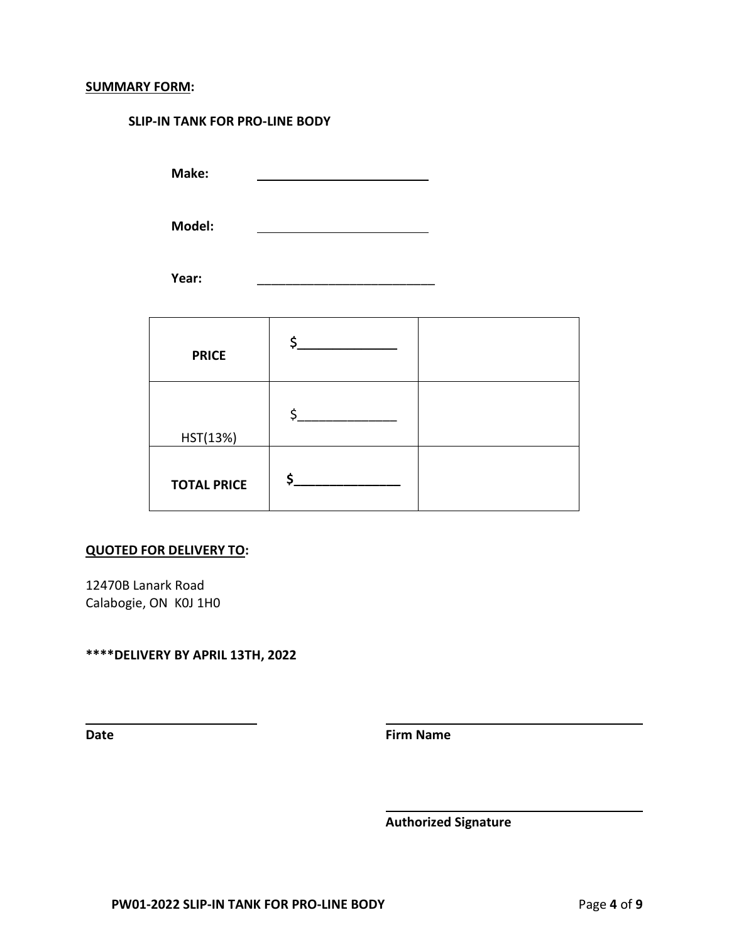# **SUMMARY FORM:**

#### **SLIP-IN TANK FOR PRO-LINE BODY**

**Make:**

**Model:**

Year:

| <b>PRICE</b>       |  |
|--------------------|--|
| HST(13%)           |  |
| <b>TOTAL PRICE</b> |  |

#### **QUOTED FOR DELIVERY TO:**

12470B Lanark Road Calabogie, ON K0J 1H0

**\*\*\*\*DELIVERY BY APRIL 13TH, 2022** 

**Date Firm Name**

**Authorized Signature**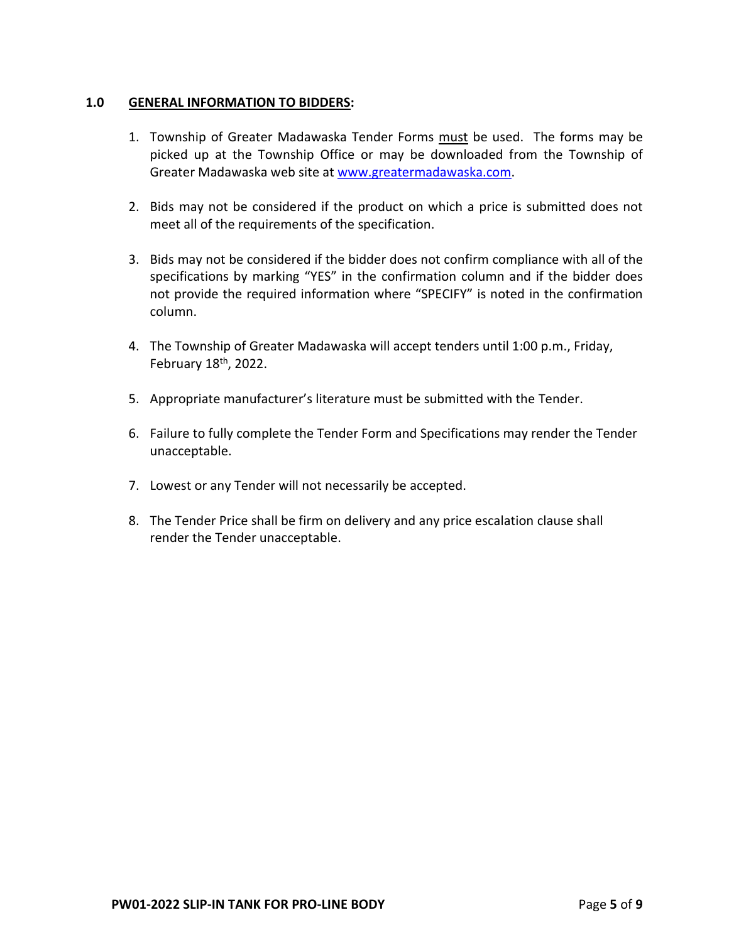### **1.0 GENERAL INFORMATION TO BIDDERS:**

- 1. Township of Greater Madawaska Tender Forms must be used. The forms may be picked up at the Township Office or may be downloaded from the Township of Greater Madawaska web site at [www.greatermadawaska.com.](http://www.greatermadawaska.com/)
- 2. Bids may not be considered if the product on which a price is submitted does not meet all of the requirements of the specification.
- 3. Bids may not be considered if the bidder does not confirm compliance with all of the specifications by marking "YES" in the confirmation column and if the bidder does not provide the required information where "SPECIFY" is noted in the confirmation column.
- 4. The Township of Greater Madawaska will accept tenders until 1:00 p.m., Friday, February  $18<sup>th</sup>$ , 2022.
- 5. Appropriate manufacturer's literature must be submitted with the Tender.
- 6. Failure to fully complete the Tender Form and Specifications may render the Tender unacceptable.
- 7. Lowest or any Tender will not necessarily be accepted.
- 8. The Tender Price shall be firm on delivery and any price escalation clause shall render the Tender unacceptable.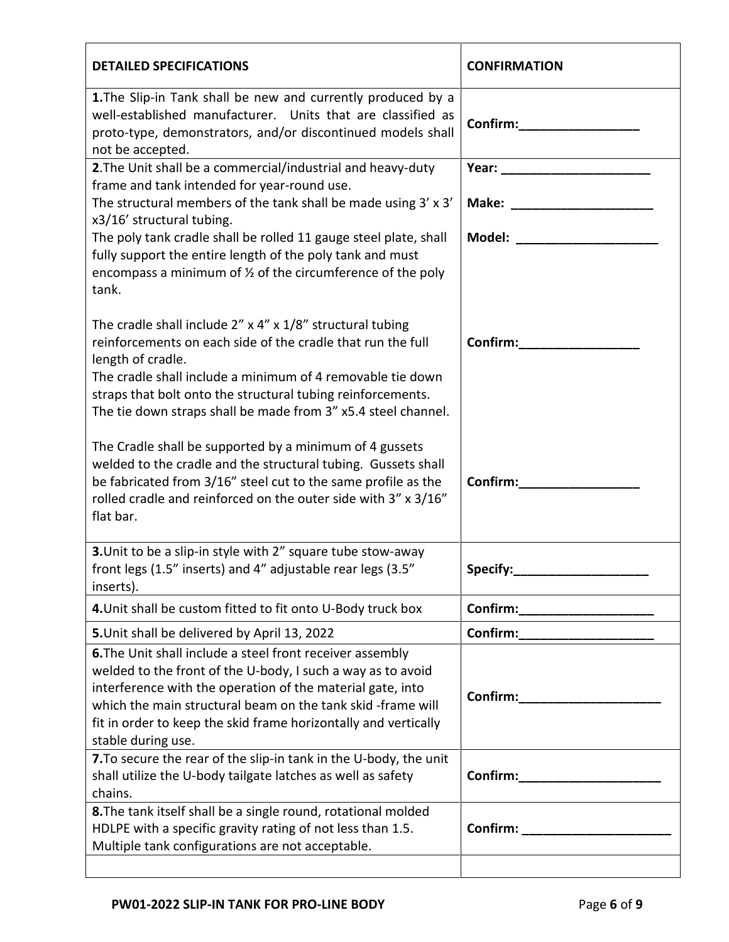| <b>DETAILED SPECIFICATIONS</b>                                                                                                                                                                                                                                                                                                                       | <b>CONFIRMATION</b>                                                                                                                                                                                                                 |
|------------------------------------------------------------------------------------------------------------------------------------------------------------------------------------------------------------------------------------------------------------------------------------------------------------------------------------------------------|-------------------------------------------------------------------------------------------------------------------------------------------------------------------------------------------------------------------------------------|
| 1. The Slip-in Tank shall be new and currently produced by a<br>well-established manufacturer. Units that are classified as<br>proto-type, demonstrators, and/or discontinued models shall<br>not be accepted.                                                                                                                                       | Confirm:                                                                                                                                                                                                                            |
| 2. The Unit shall be a commercial/industrial and heavy-duty                                                                                                                                                                                                                                                                                          |                                                                                                                                                                                                                                     |
| frame and tank intended for year-round use.<br>The structural members of the tank shall be made using 3' x 3'                                                                                                                                                                                                                                        | Make: ________________________                                                                                                                                                                                                      |
| x3/16' structural tubing.                                                                                                                                                                                                                                                                                                                            |                                                                                                                                                                                                                                     |
| The poly tank cradle shall be rolled 11 gauge steel plate, shall<br>fully support the entire length of the poly tank and must<br>encompass a minimum of $\frac{1}{2}$ of the circumference of the poly<br>tank.                                                                                                                                      | Model: with a series of the series of the series of the series of the series of the series of the series of the                                                                                                                     |
| The cradle shall include $2''$ x $4''$ x $1/8''$ structural tubing<br>reinforcements on each side of the cradle that run the full<br>length of cradle.<br>The cradle shall include a minimum of 4 removable tie down<br>straps that bolt onto the structural tubing reinforcements.<br>The tie down straps shall be made from 3" x5.4 steel channel. | <b>Confirm:</b> and the continuity of the continuity of the continuity of the continuity of the continuity of the continuity of the continuity of the continuity of the continuity of the continuity of the continuity of the conti |
| The Cradle shall be supported by a minimum of 4 gussets<br>welded to the cradle and the structural tubing. Gussets shall<br>be fabricated from 3/16" steel cut to the same profile as the<br>rolled cradle and reinforced on the outer side with 3" x 3/16"<br>flat bar.                                                                             | Confirm:                                                                                                                                                                                                                            |
| 3. Unit to be a slip-in style with 2" square tube stow-away<br>front legs (1.5" inserts) and 4" adjustable rear legs (3.5"<br>inserts).                                                                                                                                                                                                              | Specify:                                                                                                                                                                                                                            |
| 4. Unit shall be custom fitted to fit onto U-Body truck box                                                                                                                                                                                                                                                                                          | Confirm:                                                                                                                                                                                                                            |
| 5. Unit shall be delivered by April 13, 2022                                                                                                                                                                                                                                                                                                         | Confirm:                                                                                                                                                                                                                            |
| 6. The Unit shall include a steel front receiver assembly<br>welded to the front of the U-body, I such a way as to avoid<br>interference with the operation of the material gate, into<br>which the main structural beam on the tank skid -frame will<br>fit in order to keep the skid frame horizontally and vertically<br>stable during use.       | Confirm:                                                                                                                                                                                                                            |
| 7. To secure the rear of the slip-in tank in the U-body, the unit<br>shall utilize the U-body tailgate latches as well as safety<br>chains.                                                                                                                                                                                                          | Confirm:                                                                                                                                                                                                                            |
| 8. The tank itself shall be a single round, rotational molded<br>HDLPE with a specific gravity rating of not less than 1.5.<br>Multiple tank configurations are not acceptable.                                                                                                                                                                      | <b>Confirm:</b> and the continuity of the continuity of the continuity of the continuity of the continuity of the continuity of the continuity of the continuity of the continuity of the continuity of the continuity of the conti |
|                                                                                                                                                                                                                                                                                                                                                      |                                                                                                                                                                                                                                     |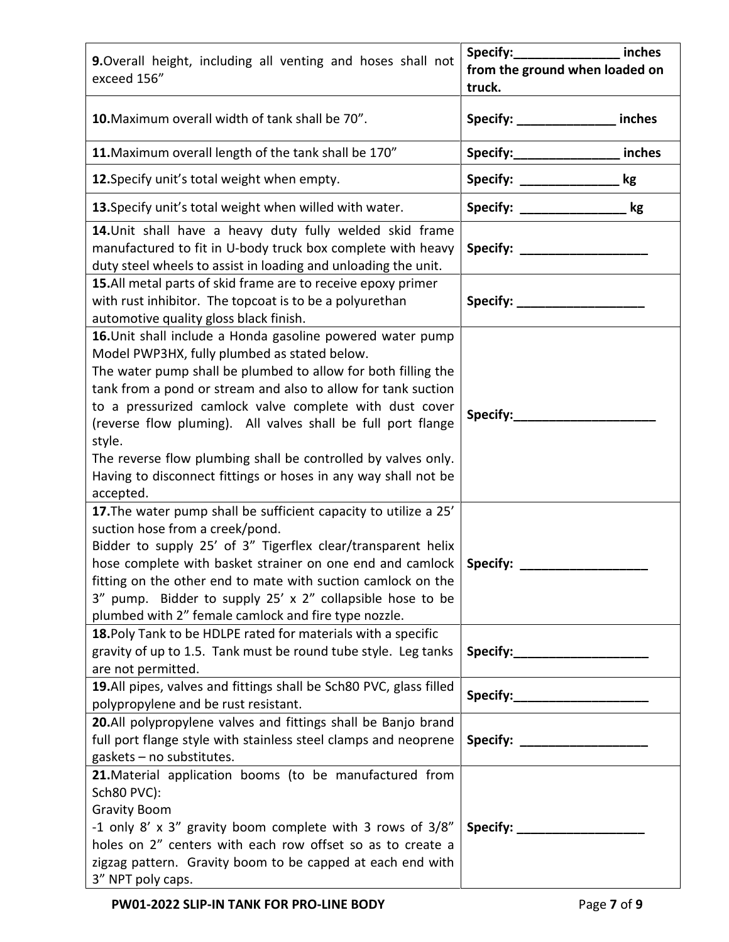| 9. Overall height, including all venting and hoses shall not<br>exceed 156"                                                                                                                                                                                                                                                                                                                                                                                                                                                       | inches<br>from the ground when loaded on<br>truck. |
|-----------------------------------------------------------------------------------------------------------------------------------------------------------------------------------------------------------------------------------------------------------------------------------------------------------------------------------------------------------------------------------------------------------------------------------------------------------------------------------------------------------------------------------|----------------------------------------------------|
| 10. Maximum overall width of tank shall be 70".                                                                                                                                                                                                                                                                                                                                                                                                                                                                                   | Specify: ________________ inches                   |
| 11. Maximum overall length of the tank shall be 170"                                                                                                                                                                                                                                                                                                                                                                                                                                                                              | Specify:_______________ inches                     |
| 12. Specify unit's total weight when empty.                                                                                                                                                                                                                                                                                                                                                                                                                                                                                       | Specify: ____________<br>kg                        |
| 13. Specify unit's total weight when willed with water.                                                                                                                                                                                                                                                                                                                                                                                                                                                                           | kg                                                 |
| 14. Unit shall have a heavy duty fully welded skid frame<br>manufactured to fit in U-body truck box complete with heavy<br>duty steel wheels to assist in loading and unloading the unit.                                                                                                                                                                                                                                                                                                                                         |                                                    |
| 15.All metal parts of skid frame are to receive epoxy primer<br>with rust inhibitor. The topcoat is to be a polyurethan<br>automotive quality gloss black finish.                                                                                                                                                                                                                                                                                                                                                                 | Specify: _____________________                     |
| 16. Unit shall include a Honda gasoline powered water pump<br>Model PWP3HX, fully plumbed as stated below.<br>The water pump shall be plumbed to allow for both filling the<br>tank from a pond or stream and also to allow for tank suction<br>to a pressurized camlock valve complete with dust cover<br>(reverse flow pluming). All valves shall be full port flange<br>style.<br>The reverse flow plumbing shall be controlled by valves only.<br>Having to disconnect fittings or hoses in any way shall not be<br>accepted. | Specify:                                           |
| 17. The water pump shall be sufficient capacity to utilize a 25'<br>suction hose from a creek/pond.<br>Bidder to supply 25' of 3" Tigerflex clear/transparent helix<br>hose complete with basket strainer on one end and camlock<br>fitting on the other end to mate with suction camlock on the<br>3" pump. Bidder to supply 25' x 2" collapsible hose to be<br>plumbed with 2" female camlock and fire type nozzle.                                                                                                             | Specify:                                           |
| 18. Poly Tank to be HDLPE rated for materials with a specific<br>gravity of up to 1.5. Tank must be round tube style. Leg tanks<br>are not permitted.                                                                                                                                                                                                                                                                                                                                                                             |                                                    |
| 19.All pipes, valves and fittings shall be Sch80 PVC, glass filled<br>polypropylene and be rust resistant.                                                                                                                                                                                                                                                                                                                                                                                                                        | Specify: Specify:                                  |
| 20.All polypropylene valves and fittings shall be Banjo brand<br>full port flange style with stainless steel clamps and neoprene<br>gaskets - no substitutes.                                                                                                                                                                                                                                                                                                                                                                     |                                                    |
| 21. Material application booms (to be manufactured from<br>Sch80 PVC):<br><b>Gravity Boom</b><br>-1 only 8' x 3" gravity boom complete with 3 rows of 3/8"<br>holes on 2" centers with each row offset so as to create a<br>zigzag pattern. Gravity boom to be capped at each end with<br>3" NPT poly caps.                                                                                                                                                                                                                       | Specify:                                           |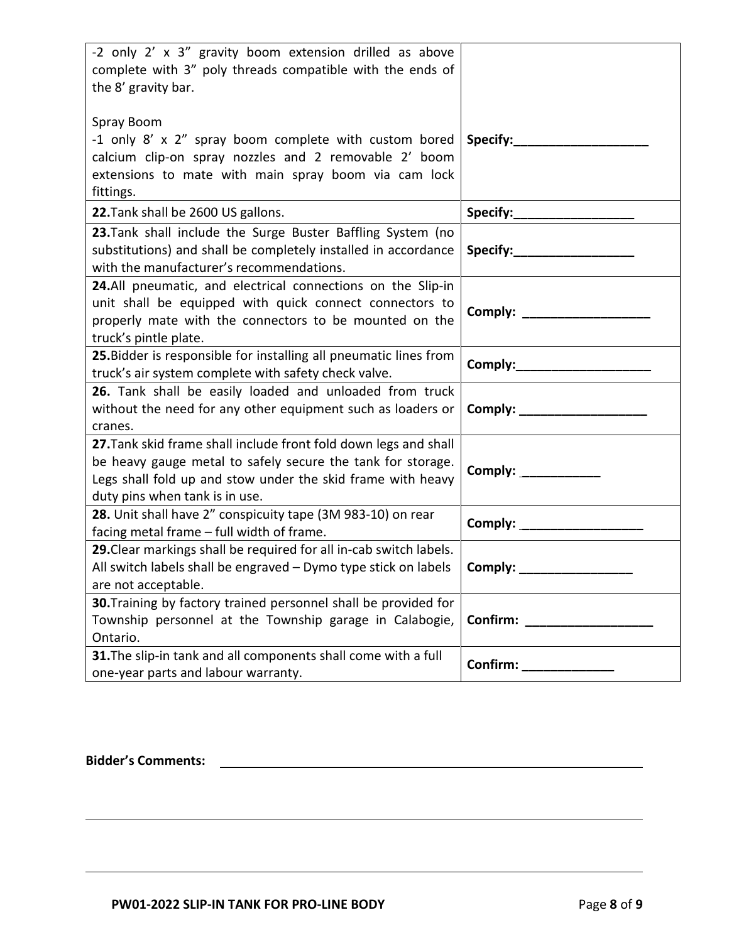| -2 only 2' x 3" gravity boom extension drilled as above<br>complete with 3" poly threads compatible with the ends of<br>the 8' gravity bar.<br>Spray Boom                                                                        |                                |
|----------------------------------------------------------------------------------------------------------------------------------------------------------------------------------------------------------------------------------|--------------------------------|
| -1 only 8' x 2" spray boom complete with custom bored<br>calcium clip-on spray nozzles and 2 removable 2' boom<br>extensions to mate with main spray boom via cam lock<br>fittings.                                              | Specify:________               |
| 22. Tank shall be 2600 US gallons.                                                                                                                                                                                               | Specify:___________________    |
| 23. Tank shall include the Surge Buster Baffling System (no<br>substitutions) and shall be completely installed in accordance<br>with the manufacturer's recommendations.                                                        |                                |
| 24.All pneumatic, and electrical connections on the Slip-in<br>unit shall be equipped with quick connect connectors to<br>properly mate with the connectors to be mounted on the<br>truck's pintle plate.                        |                                |
| 25. Bidder is responsible for installing all pneumatic lines from<br>truck's air system complete with safety check valve.                                                                                                        | Comply:_______________________ |
| 26. Tank shall be easily loaded and unloaded from truck<br>without the need for any other equipment such as loaders or<br>cranes.                                                                                                |                                |
| 27. Tank skid frame shall include front fold down legs and shall<br>be heavy gauge metal to safely secure the tank for storage.<br>Legs shall fold up and stow under the skid frame with heavy<br>duty pins when tank is in use. | Comply: 2000                   |
| 28. Unit shall have 2" conspicuity tape (3M 983-10) on rear<br>facing metal frame - full width of frame.                                                                                                                         |                                |
| 29. Clear markings shall be required for all in-cab switch labels.<br>All switch labels shall be engraved - Dymo type stick on labels<br>are not acceptable.                                                                     | Comply:                        |
| 30. Training by factory trained personnel shall be provided for<br>Township personnel at the Township garage in Calabogie,<br>Ontario.                                                                                           | Confirm:                       |
| 31. The slip-in tank and all components shall come with a full<br>one-year parts and labour warranty.                                                                                                                            | Confirm: ______________        |

**Bidder's Comments:**